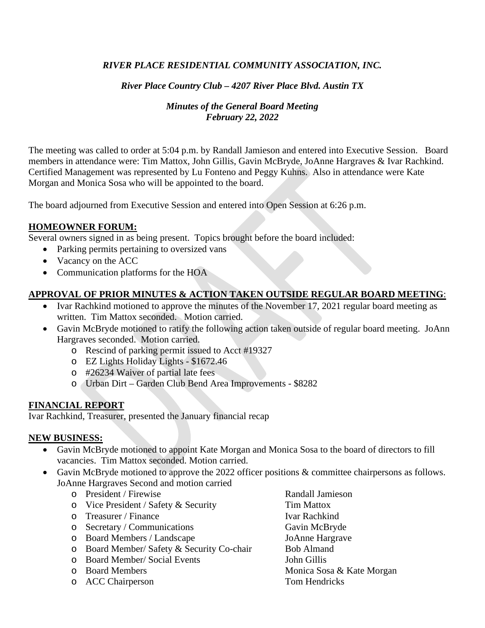### *RIVER PLACE RESIDENTIAL COMMUNITY ASSOCIATION, INC.*

### *River Place Country Club – 4207 River Place Blvd. Austin TX*

### *Minutes of the General Board Meeting February 22, 2022*

The meeting was called to order at 5:04 p.m. by Randall Jamieson and entered into Executive Session. Board members in attendance were: Tim Mattox, John Gillis, Gavin McBryde, JoAnne Hargraves & Ivar Rachkind. Certified Management was represented by Lu Fonteno and Peggy Kuhns. Also in attendance were Kate Morgan and Monica Sosa who will be appointed to the board.

The board adjourned from Executive Session and entered into Open Session at 6:26 p.m.

#### **HOMEOWNER FORUM:**

Several owners signed in as being present. Topics brought before the board included:

- Parking permits pertaining to oversized vans
- Vacancy on the ACC
- Communication platforms for the HOA

# **APPROVAL OF PRIOR MINUTES & ACTION TAKEN OUTSIDE REGULAR BOARD MEETING**:

- Ivar Rachkind motioned to approve the minutes of the November 17, 2021 regular board meeting as written. Tim Mattox seconded. Motion carried.
- Gavin McBryde motioned to ratify the following action taken outside of regular board meeting. JoAnn Hargraves seconded. Motion carried.
	- o Rescind of parking permit issued to Acct #19327
	- o EZ Lights Holiday Lights \$1672.46
	- o #26234 Waiver of partial late fees
	- o Urban Dirt Garden Club Bend Area Improvements \$8282

### **FINANCIAL REPORT**

Ivar Rachkind, Treasurer, presented the January financial recap

#### **NEW BUSINESS:**

- Gavin McBryde motioned to appoint Kate Morgan and Monica Sosa to the board of directors to fill vacancies. Tim Mattox seconded. Motion carried.
- Gavin McBryde motioned to approve the 2022 officer positions & committee chairpersons as follows. JoAnne Hargraves Second and motion carried
	-
	- o Vice President / Safety & Security Tim Mattox<br>
	o Treasurer / Finance Ivar Rachkind
	-
	-
	- o Board Members / Landscape JoAnne Hargrave JoAnne Hargrave JoAnne Hargrave Board Member / Safety & Security Co-chair
	- o Board Member/ Safety & Security Co-chair Bob Alman<br>
	Do Board Member/ Social Events John Gillis
	- o Board Member/ Social Events<br>
	o Board Members
	-
	- o ACC Chairperson
	- o President / Firewise<br>
	o Vice President / Safety & Security<br>
	Tim Mattox o Treasurer / Finance Ivar Rachkind<br>
	o Secretary / Communications Gavin McBryde o Secretary / Communications Gavin McBryde<br>
	o Board Members / Landscape JoAnne Hargrave Monica Sosa & Kate Morgan<br>Tom Hendricks